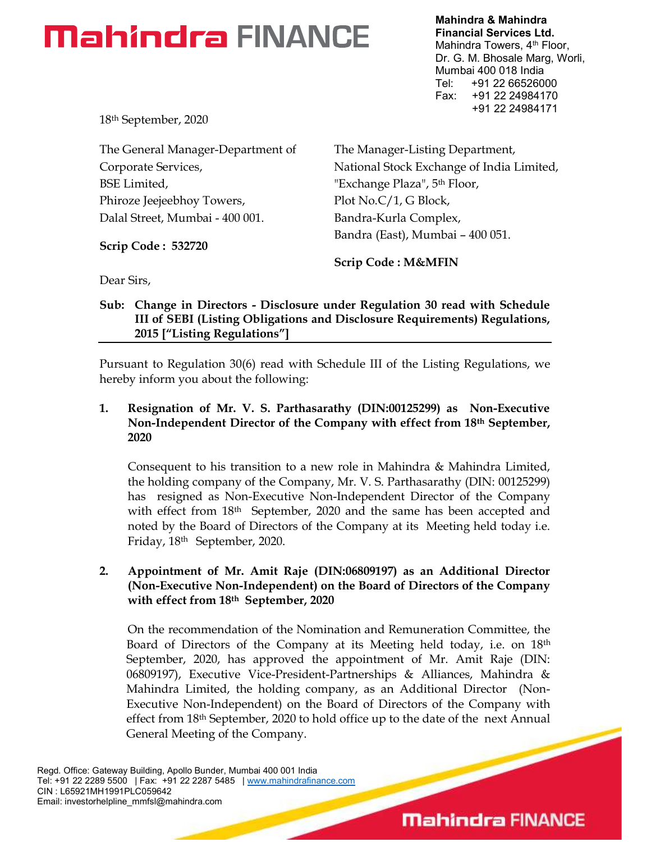Mahindra & Mahindra Financial Services Ltd. Mahindra Towers, 4<sup>th</sup> Floor, Dr. G. M. Bhosale Marg, Worli, Mumbai 400 018 India Tel: +91 22 66526000 Fax: +91 22 24984170 +91 22 24984171

18th September, 2020

The General Manager-Department of Corporate Services, BSE Limited, Phiroze Jeejeebhoy Towers, Dalal Street, Mumbai - 400 001.

Scrip Code : 532720

The Manager-Listing Department, National Stock Exchange of India Limited, "Exchange Plaza", 5<sup>th</sup> Floor, Plot No.C/1, G Block, Bandra-Kurla Complex, Bandra (East), Mumbai – 400 051.

Scrip Code : M&MFIN

Dear Sirs,

#### Sub: Change in Directors - Disclosure under Regulation 30 read with Schedule III of SEBI (Listing Obligations and Disclosure Requirements) Regulations, 2015 ["Listing Regulations"]

Pursuant to Regulation 30(6) read with Schedule III of the Listing Regulations, we hereby inform you about the following:

#### 1. Resignation of Mr. V. S. Parthasarathy (DIN:00125299) as Non-Executive Non-Independent Director of the Company with effect from 18th September, 2020

Consequent to his transition to a new role in Mahindra & Mahindra Limited, the holding company of the Company, Mr. V. S. Parthasarathy (DIN: 00125299) has resigned as Non-Executive Non-Independent Director of the Company with effect from 18<sup>th</sup> September, 2020 and the same has been accepted and noted by the Board of Directors of the Company at its Meeting held today i.e. Friday, 18th September, 2020.

#### 2. Appointment of Mr. Amit Raje (DIN:06809197) as an Additional Director (Non-Executive Non-Independent) on the Board of Directors of the Company with effect from 18<sup>th</sup> September, 2020

On the recommendation of the Nomination and Remuneration Committee, the Board of Directors of the Company at its Meeting held today, i.e. on 18th September, 2020, has approved the appointment of Mr. Amit Raje (DIN: 06809197), Executive Vice-President-Partnerships & Alliances, Mahindra & Mahindra Limited, the holding company, as an Additional Director (Non-Executive Non-Independent) on the Board of Directors of the Company with effect from 18th September, 2020 to hold office up to the date of the next Annual General Meeting of the Company.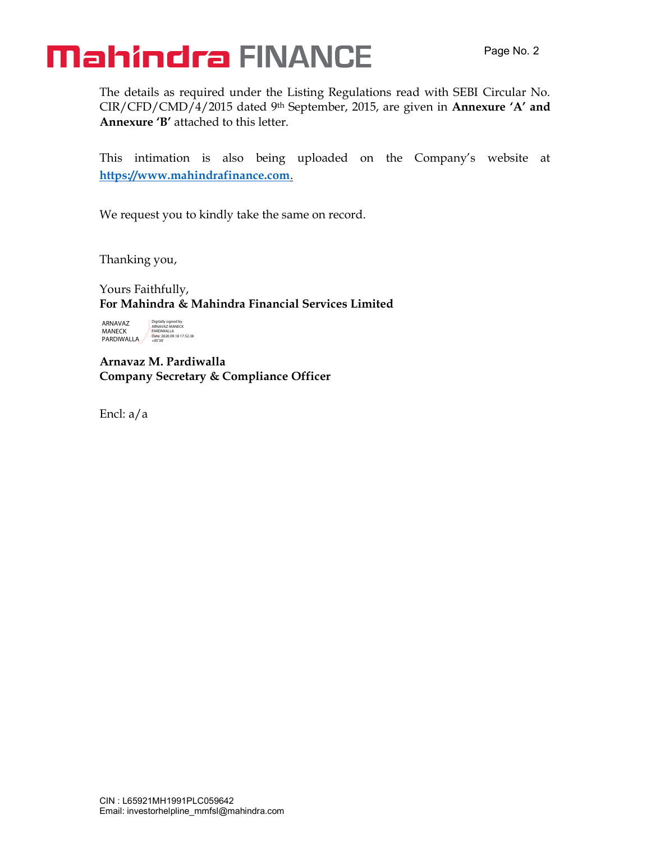The details as required under the Listing Regulations read with SEBI Circular No. CIR/CFD/CMD/4/2015 dated 9<sup>th</sup> September, 2015, are given in Annexure 'A' and Annexure 'B' attached to this letter.

This intimation is also being uploaded on the Company's website at https://www.mahindrafinance.com.

We request you to kindly take the same on record.

Thanking you,

Yours Faithfully, For Mahindra & Mahindra Financial Services Limited

ARNAVAZ MANECK PARDIWALLA Digitally signed by ARNAVAZ MANECK PARDIWALLA Date: 2020.09.18 17:52:38 +05'30'

Arnavaz M. Pardiwalla Company Secretary & Compliance Officer

Encl: a/a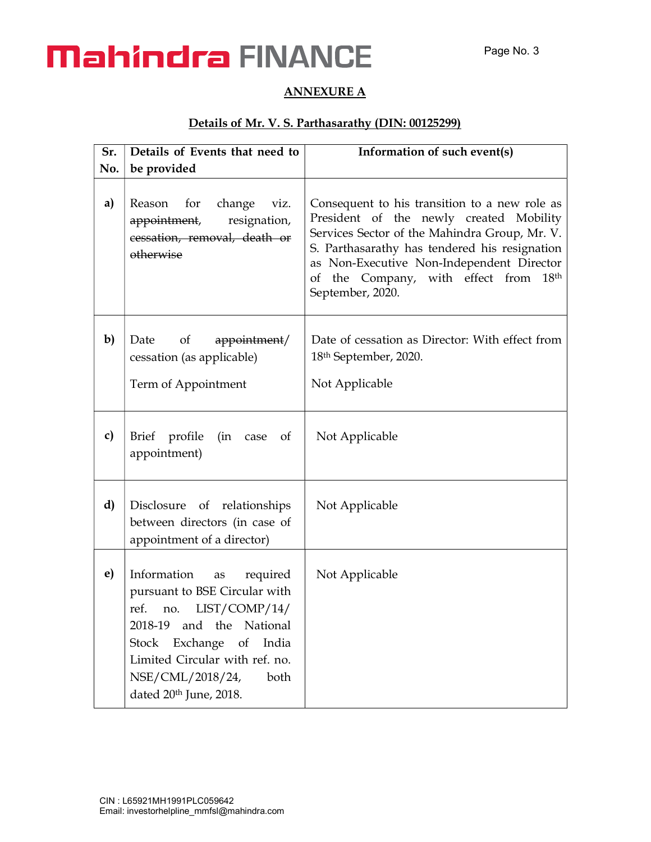#### ANNEXURE A

#### Details of Mr. V. S. Parthasarathy (DIN: 00125299)

| Sr. | Details of Events that need to                                                                                                                                                                                                                                      | Information of such event(s)                                                                                                                                                                                                                                                                                        |
|-----|---------------------------------------------------------------------------------------------------------------------------------------------------------------------------------------------------------------------------------------------------------------------|---------------------------------------------------------------------------------------------------------------------------------------------------------------------------------------------------------------------------------------------------------------------------------------------------------------------|
| No. | be provided                                                                                                                                                                                                                                                         |                                                                                                                                                                                                                                                                                                                     |
| a)  | Reason for change viz.<br>resignation,<br><del>appointment</del> ,<br>cessation, removal, death or<br>otherwise                                                                                                                                                     | Consequent to his transition to a new role as<br>President of the newly created Mobility<br>Services Sector of the Mahindra Group, Mr. V.<br>S. Parthasarathy has tendered his resignation<br>as Non-Executive Non-Independent Director<br>of the Company, with effect from<br>18 <sup>th</sup><br>September, 2020. |
| b)  | Date of appointment/<br>cessation (as applicable)<br>Term of Appointment                                                                                                                                                                                            | Date of cessation as Director: With effect from<br>18 <sup>th</sup> September, 2020.<br>Not Applicable                                                                                                                                                                                                              |
| c)  | profile<br>(in case<br>Brief<br>of<br>appointment)                                                                                                                                                                                                                  | Not Applicable                                                                                                                                                                                                                                                                                                      |
| d)  | Disclosure of relationships<br>between directors (in case of<br>appointment of a director)                                                                                                                                                                          | Not Applicable                                                                                                                                                                                                                                                                                                      |
| e)  | Information<br>required<br>as<br>pursuant to BSE Circular with<br>LIST/COMP/14/<br>ref.<br>no.<br>National<br>2018-19<br>and the<br>Exchange<br><b>Stock</b><br>of<br>India<br>Limited Circular with ref. no.<br>NSE/CML/2018/24,<br>both<br>dated 20th June, 2018. | Not Applicable                                                                                                                                                                                                                                                                                                      |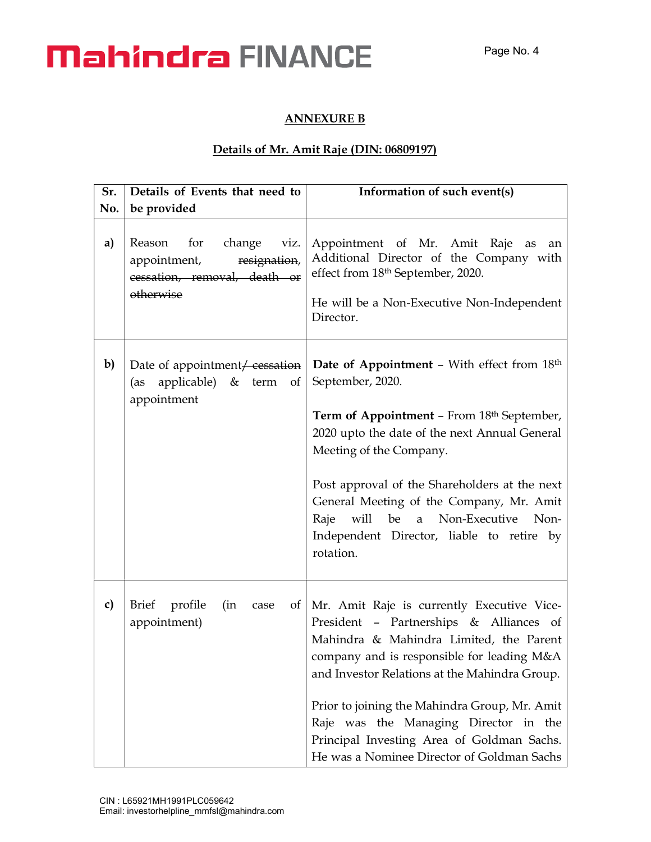#### ANNEXURE B

#### Details of Mr. Amit Raje (DIN: 06809197)

| Sr. | Details of Events that need to                                                                            | Information of such event(s)                                                                                                                                                                                                                                                                                                                                                                                               |
|-----|-----------------------------------------------------------------------------------------------------------|----------------------------------------------------------------------------------------------------------------------------------------------------------------------------------------------------------------------------------------------------------------------------------------------------------------------------------------------------------------------------------------------------------------------------|
| No. | be provided                                                                                               |                                                                                                                                                                                                                                                                                                                                                                                                                            |
| a)  | for<br>change viz.<br>Reason<br>resignation,<br>appointment,<br>cessation, removal, death or<br>otherwise | Appointment of Mr. Amit Raje<br>as<br>an<br>Additional Director of the Company with<br>effect from 18th September, 2020.<br>He will be a Non-Executive Non-Independent<br>Director.                                                                                                                                                                                                                                        |
| b)  | Date of appointment <del>/ cessation</del><br>applicable) & term of<br>(as<br>appointment                 | <b>Date of Appointment - With effect from 18th</b><br>September, 2020.<br><b>Term of Appointment - From 18th September,</b><br>2020 upto the date of the next Annual General<br>Meeting of the Company.<br>Post approval of the Shareholders at the next<br>General Meeting of the Company, Mr. Amit<br>will be<br>a Non-Executive Non-<br>Raje<br>Independent Director, liable to retire by<br>rotation.                  |
| c)  | Brief profile<br>(in<br>case<br>appointment)                                                              | of   Mr. Amit Raje is currently Executive Vice-<br>President - Partnerships & Alliances of<br>Mahindra & Mahindra Limited, the Parent<br>company and is responsible for leading M&A<br>and Investor Relations at the Mahindra Group.<br>Prior to joining the Mahindra Group, Mr. Amit<br>Raje was the Managing Director in the<br>Principal Investing Area of Goldman Sachs.<br>He was a Nominee Director of Goldman Sachs |